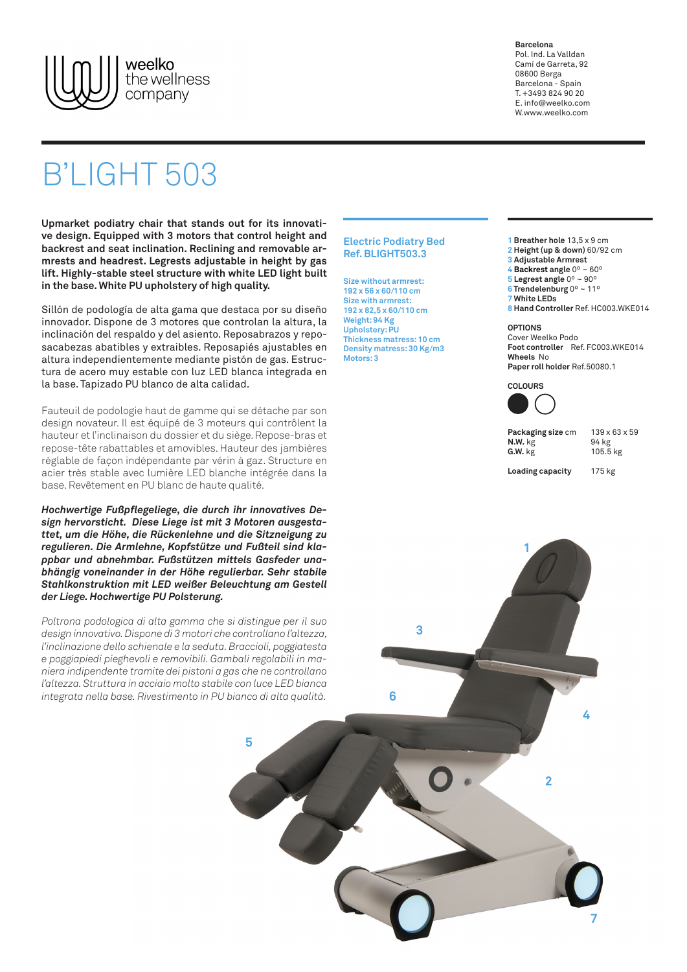

**Barcelona** Pol. Ind. La Valldan Camí de Garreta, 92 08600 Berga Barcelona - Spain T. +3493 824 90 20 E. info@weelko.com W.www.weelko.com

## B'LIGHT 503

**Upmarket podiatry chair that stands out for its innovative design. Equipped with 3 motors that control height and backrest and seat inclination. Reclining and removable armrests and headrest. Legrests adjustable in height by gas lift. Highly-stable steel structure with white LED light built in the base. White PU upholstery of high quality.**

Sillón de podología de alta gama que destaca por su diseño innovador. Dispone de 3 motores que controlan la altura, la inclinación del respaldo y del asiento. Reposabrazos y reposacabezas abatibles y extraibles. Reposapiés ajustables en altura independientemente mediante pistón de gas. Estructura de acero muy estable con luz LED blanca integrada en la base. Tapizado PU blanco de alta calidad.

Fauteuil de podologie haut de gamme qui se détache par son design novateur. Il est équipé de 3 moteurs qui contrôlent la hauteur et l'inclinaison du dossier et du siège. Repose-bras et repose-tête rabattables et amovibles. Hauteur des jambières réglable de façon indépendante par vérin à gaz. Structure en acier très stable avec lumière LED blanche intégrée dans la base. Revêtement en PU blanc de haute qualité.

*Hochwertige Fußpflegeliege, die durch ihr innovatives Design hervorsticht. Diese Liege ist mit 3 Motoren ausgestattet, um die Höhe, die Rückenlehne und die Sitzneigung zu regulieren. Die Armlehne, Kopfstütze und Fußteil sind klappbar und abnehmbar. Fußstützen mittels Gasfeder unabhängig voneinander in der Höhe regulierbar. Sehr stabile Stahlkonstruktion mit LED weißer Beleuchtung am Gestell der Liege. Hochwertige PU Polsterung.*

*Poltrona podologica di alta gamma che si distingue per il suo design innovativo. Dispone di 3 motori che controllano l'altezza, l'inclinazione dello schienale e la seduta. Braccioli, poggiatesta e poggiapiedi pieghevoli e removibili. Gambali regolabili in maniera indipendente tramite dei pistoni a gas che ne controllano l'altezza. Struttura in acciaio molto stabile con luce LED bianca integrata nella base. Rivestimento in PU bianco di alta qualità.*

## **Electric Podiatry Bed Ref. BLIGHT503.3**

**Size without armrest: 192 x 56 x 60/110 cm Size with armrest: 192 x 82,5 x 60/110 cm Weight: 94 Kg Upholstery: PU Thickness matress: 10 cm Density matress: 30 Kg/m3 Motors: 3**

**3 Adjustable Armrest 4 Backrest angle** 0º ~ 60º **5 Legrest angle** 0º ~ 90º **6 Trendelenburg** 0º ~ 11º **7 White LEDs 8 Hand Controller** Ref. HC003.WKE014 **OPTIONS** Cover Weelko Podo **Foot controller** Ref. FC003.WKE014 **Wheels** No **Paper roll holder** Ref.50080.1 **COLOURS**

**1 Breather hole** 13,5 x 9 cm **2 Height (up & down)** 60/92 cm



**1**

| Packaging size cm | $139 \times 63 \times 59$ |
|-------------------|---------------------------|
| $N.W.$ kg         | 94 kg                     |
| G.W. kg           | 105.5 kg                  |
|                   |                           |

**Loading capacity** 175 kg



**3**